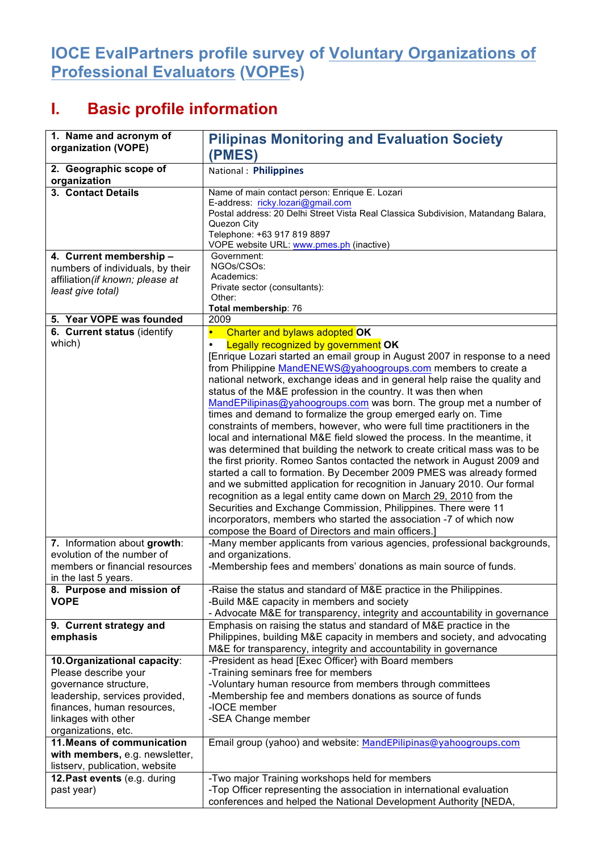## **IOCE EvalPartners profile survey of Voluntary Organizations of Professional Evaluators (VOPEs)**

## **I. Basic profile information**

| 1. Name and acronym of                                      | <b>Pilipinas Monitoring and Evaluation Society</b>                                                                                                 |  |  |  |  |
|-------------------------------------------------------------|----------------------------------------------------------------------------------------------------------------------------------------------------|--|--|--|--|
| organization (VOPE)                                         | (PMES)                                                                                                                                             |  |  |  |  |
| 2. Geographic scope of<br>organization                      | National: Philippines                                                                                                                              |  |  |  |  |
| 3. Contact Details                                          | Name of main contact person: Enrique E. Lozari<br>E-address: ricky.lozari@gmail.com                                                                |  |  |  |  |
|                                                             | Postal address: 20 Delhi Street Vista Real Classica Subdivision, Matandang Balara,                                                                 |  |  |  |  |
|                                                             | Quezon City<br>Telephone: +63 917 819 8897                                                                                                         |  |  |  |  |
|                                                             | VOPE website URL: www.pmes.ph (inactive)                                                                                                           |  |  |  |  |
| 4. Current membership -<br>numbers of individuals, by their | Government:<br>NGOs/CSOs:                                                                                                                          |  |  |  |  |
| affiliation (if known; please at                            | Academics:                                                                                                                                         |  |  |  |  |
| least give total)                                           | Private sector (consultants):<br>Other:                                                                                                            |  |  |  |  |
|                                                             | Total membership: 76                                                                                                                               |  |  |  |  |
| 5. Year VOPE was founded                                    | 2009                                                                                                                                               |  |  |  |  |
| 6. Current status (identify<br>which)                       | Charter and bylaws adopted OK<br>$\bullet$                                                                                                         |  |  |  |  |
|                                                             | Legally recognized by government OK<br>$\bullet$<br>[Enrique Lozari started an email group in August 2007 in response to a need                    |  |  |  |  |
|                                                             | from Philippine MandENEWS@yahoogroups.com members to create a                                                                                      |  |  |  |  |
|                                                             | national network, exchange ideas and in general help raise the quality and                                                                         |  |  |  |  |
|                                                             | status of the M&E profession in the country. It was then when                                                                                      |  |  |  |  |
|                                                             | MandEPilipinas@yahoogroups.com was born. The group met a number of<br>times and demand to formalize the group emerged early on. Time               |  |  |  |  |
|                                                             | constraints of members, however, who were full time practitioners in the                                                                           |  |  |  |  |
|                                                             | local and international M&E field slowed the process. In the meantime, it                                                                          |  |  |  |  |
|                                                             | was determined that building the network to create critical mass was to be                                                                         |  |  |  |  |
|                                                             | the first priority. Romeo Santos contacted the network in August 2009 and<br>started a call to formation. By December 2009 PMES was already formed |  |  |  |  |
|                                                             | and we submitted application for recognition in January 2010. Our formal                                                                           |  |  |  |  |
|                                                             | recognition as a legal entity came down on March 29, 2010 from the                                                                                 |  |  |  |  |
|                                                             | Securities and Exchange Commission, Philippines. There were 11                                                                                     |  |  |  |  |
|                                                             | incorporators, members who started the association -7 of which now<br>compose the Board of Directors and main officers.]                           |  |  |  |  |
| 7. Information about growth:                                | -Many member applicants from various agencies, professional backgrounds,                                                                           |  |  |  |  |
| evolution of the number of                                  | and organizations.                                                                                                                                 |  |  |  |  |
| members or financial resources                              | -Membership fees and members' donations as main source of funds.                                                                                   |  |  |  |  |
| in the last 5 years.                                        |                                                                                                                                                    |  |  |  |  |
| 8. Purpose and mission of<br><b>VOPE</b>                    | -Raise the status and standard of M&E practice in the Philippines.<br>-Build M&E capacity in members and society                                   |  |  |  |  |
|                                                             | - Advocate M&E for transparency, integrity and accountability in governance                                                                        |  |  |  |  |
| 9. Current strategy and                                     | Emphasis on raising the status and standard of M&E practice in the                                                                                 |  |  |  |  |
| emphasis                                                    | Philippines, building M&E capacity in members and society, and advocating                                                                          |  |  |  |  |
| 10. Organizational capacity:                                | M&E for transparency, integrity and accountability in governance<br>-President as head [Exec Officer} with Board members                           |  |  |  |  |
| Please describe your                                        | -Training seminars free for members                                                                                                                |  |  |  |  |
| governance structure,                                       | -Voluntary human resource from members through committees                                                                                          |  |  |  |  |
| leadership, services provided,                              | -Membership fee and members donations as source of funds                                                                                           |  |  |  |  |
| finances, human resources,<br>linkages with other           | -IOCE member<br>-SEA Change member                                                                                                                 |  |  |  |  |
| organizations, etc.                                         |                                                                                                                                                    |  |  |  |  |
| 11. Means of communication                                  | Email group (yahoo) and website: MandEPilipinas@yahoogroups.com                                                                                    |  |  |  |  |
| with members, e.g. newsletter,                              |                                                                                                                                                    |  |  |  |  |
| listserv, publication, website                              |                                                                                                                                                    |  |  |  |  |
| 12. Past events (e.g. during<br>past year)                  | -Two major Training workshops held for members<br>-Top Officer representing the association in international evaluation                            |  |  |  |  |
|                                                             | conferences and helped the National Development Authority [NEDA,                                                                                   |  |  |  |  |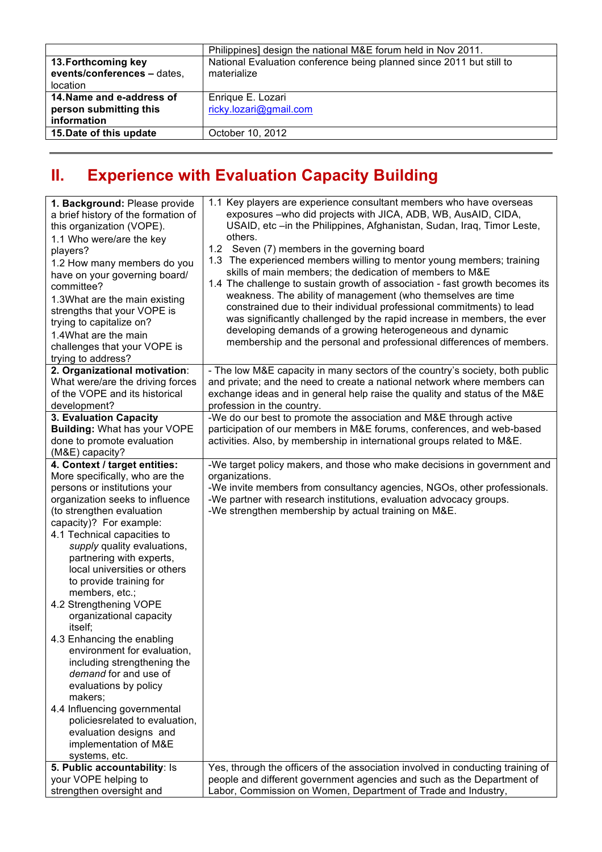|                                                                    | Philippines] design the national M&E forum held in Nov 2011.                        |
|--------------------------------------------------------------------|-------------------------------------------------------------------------------------|
| 13. Forthcoming key<br>events/conferences - dates,<br>location     | National Evaluation conference being planned since 2011 but still to<br>materialize |
| 14. Name and e-address of<br>person submitting this<br>information | Enrique E. Lozari<br>ricky.lozari@gmail.com                                         |
| 15. Date of this update                                            | October 10, 2012                                                                    |

## **II. Experience with Evaluation Capacity Building**

| 1.1 Key players are experience consultant members who have overseas<br>1. Background: Please provide<br>exposures -who did projects with JICA, ADB, WB, AusAID, CIDA,<br>a brief history of the formation of<br>USAID, etc -in the Philippines, Afghanistan, Sudan, Iraq, Timor Leste,<br>this organization (VOPE).<br>others.<br>1.1 Who were/are the key<br>1.2 Seven (7) members in the governing board<br>players?<br>1.3 The experienced members willing to mentor young members; training<br>1.2 How many members do you<br>skills of main members; the dedication of members to M&E<br>have on your governing board/<br>1.4 The challenge to sustain growth of association - fast growth becomes its<br>committee?<br>weakness. The ability of management (who themselves are time<br>1.3What are the main existing<br>constrained due to their individual professional commitments) to lead<br>strengths that your VOPE is<br>was significantly challenged by the rapid increase in members, the ever<br>trying to capitalize on?<br>developing demands of a growing heterogeneous and dynamic<br>1.4What are the main<br>membership and the personal and professional differences of members.<br>challenges that your VOPE is<br>trying to address? |  |
|--------------------------------------------------------------------------------------------------------------------------------------------------------------------------------------------------------------------------------------------------------------------------------------------------------------------------------------------------------------------------------------------------------------------------------------------------------------------------------------------------------------------------------------------------------------------------------------------------------------------------------------------------------------------------------------------------------------------------------------------------------------------------------------------------------------------------------------------------------------------------------------------------------------------------------------------------------------------------------------------------------------------------------------------------------------------------------------------------------------------------------------------------------------------------------------------------------------------------------------------------------------|--|
| 2. Organizational motivation:<br>- The low M&E capacity in many sectors of the country's society, both public<br>What were/are the driving forces<br>and private; and the need to create a national network where members can<br>of the VOPE and its historical<br>exchange ideas and in general help raise the quality and status of the M&E<br>development?<br>profession in the country.                                                                                                                                                                                                                                                                                                                                                                                                                                                                                                                                                                                                                                                                                                                                                                                                                                                                  |  |
| 3. Evaluation Capacity<br>-We do our best to promote the association and M&E through active<br>Building: What has your VOPE<br>participation of our members in M&E forums, conferences, and web-based<br>done to promote evaluation<br>activities. Also, by membership in international groups related to M&E.<br>(M&E) capacity?                                                                                                                                                                                                                                                                                                                                                                                                                                                                                                                                                                                                                                                                                                                                                                                                                                                                                                                            |  |
| 4. Context / target entities:<br>-We target policy makers, and those who make decisions in government and<br>More specifically, who are the<br>organizations.<br>-We invite members from consultancy agencies, NGOs, other professionals.<br>persons or institutions your<br>-We partner with research institutions, evaluation advocacy groups.<br>organization seeks to influence<br>(to strengthen evaluation<br>-We strengthen membership by actual training on M&E.<br>capacity)? For example:<br>4.1 Technical capacities to<br>supply quality evaluations,<br>partnering with experts,<br>local universities or others<br>to provide training for<br>members, etc.;<br>4.2 Strengthening VOPE<br>organizational capacity<br>itself;<br>4.3 Enhancing the enabling<br>environment for evaluation,<br>including strengthening the<br>demand for and use of<br>evaluations by policy<br>makers;<br>4.4 Influencing governmental<br>policiesrelated to evaluation,<br>evaluation designs and<br>implementation of M&E<br>systems, etc.<br>5. Public accountability: Is<br>Yes, through the officers of the association involved in conducting training of                                                                                                 |  |
| people and different government agencies and such as the Department of<br>your VOPE helping to<br>Labor, Commission on Women, Department of Trade and Industry,<br>strengthen oversight and                                                                                                                                                                                                                                                                                                                                                                                                                                                                                                                                                                                                                                                                                                                                                                                                                                                                                                                                                                                                                                                                  |  |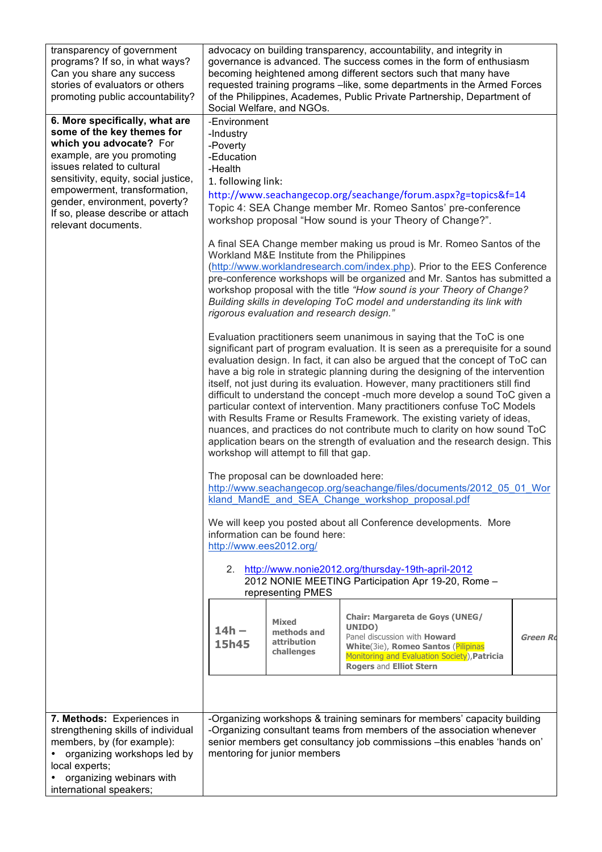| transparency of government<br>programs? If so, in what ways?<br>Can you share any success<br>stories of evaluators or others<br>promoting public accountability?                                                                                                                                                        | advocacy on building transparency, accountability, and integrity in<br>governance is advanced. The success comes in the form of enthusiasm<br>becoming heightened among different sectors such that many have<br>requested training programs - like, some departments in the Armed Forces<br>of the Philippines, Academes, Public Private Partnership, Department of<br>Social Welfare, and NGOs.                                                                                                                                                                                                                                                                                                                                                                                                                                                             |                                                          |                                                                                                                                                                                                                               |          |  |  |
|-------------------------------------------------------------------------------------------------------------------------------------------------------------------------------------------------------------------------------------------------------------------------------------------------------------------------|---------------------------------------------------------------------------------------------------------------------------------------------------------------------------------------------------------------------------------------------------------------------------------------------------------------------------------------------------------------------------------------------------------------------------------------------------------------------------------------------------------------------------------------------------------------------------------------------------------------------------------------------------------------------------------------------------------------------------------------------------------------------------------------------------------------------------------------------------------------|----------------------------------------------------------|-------------------------------------------------------------------------------------------------------------------------------------------------------------------------------------------------------------------------------|----------|--|--|
| 6. More specifically, what are<br>some of the key themes for<br>which you advocate? For<br>example, are you promoting<br>issues related to cultural<br>sensitivity, equity, social justice,<br>empowerment, transformation,<br>gender, environment, poverty?<br>If so, please describe or attach<br>relevant documents. | -Environment<br>-Industry<br>-Poverty<br>-Education<br>-Health<br>1. following link:<br>http://www.seachangecop.org/seachange/forum.aspx?g=topics&f=14<br>Topic 4: SEA Change member Mr. Romeo Santos' pre-conference<br>workshop proposal "How sound is your Theory of Change?".                                                                                                                                                                                                                                                                                                                                                                                                                                                                                                                                                                             |                                                          |                                                                                                                                                                                                                               |          |  |  |
|                                                                                                                                                                                                                                                                                                                         | A final SEA Change member making us proud is Mr. Romeo Santos of the<br>Workland M&E Institute from the Philippines<br>(http://www.worklandresearch.com/index.php). Prior to the EES Conference<br>pre-conference workshops will be organized and Mr. Santos has submitted a<br>workshop proposal with the title "How sound is your Theory of Change?<br>Building skills in developing ToC model and understanding its link with<br>rigorous evaluation and research design."                                                                                                                                                                                                                                                                                                                                                                                 |                                                          |                                                                                                                                                                                                                               |          |  |  |
|                                                                                                                                                                                                                                                                                                                         | Evaluation practitioners seem unanimous in saying that the ToC is one<br>significant part of program evaluation. It is seen as a prerequisite for a sound<br>evaluation design. In fact, it can also be argued that the concept of ToC can<br>have a big role in strategic planning during the designing of the intervention<br>itself, not just during its evaluation. However, many practitioners still find<br>difficult to understand the concept -much more develop a sound ToC given a<br>particular context of intervention. Many practitioners confuse ToC Models<br>with Results Frame or Results Framework. The existing variety of ideas,<br>nuances, and practices do not contribute much to clarity on how sound ToC<br>application bears on the strength of evaluation and the research design. This<br>workshop will attempt to fill that gap. |                                                          |                                                                                                                                                                                                                               |          |  |  |
|                                                                                                                                                                                                                                                                                                                         | The proposal can be downloaded here:<br>http://www.seachangecop.org/seachange/files/documents/2012 05 01 Wor<br>kland_MandE_and_SEA_Change_workshop_proposal.pdf                                                                                                                                                                                                                                                                                                                                                                                                                                                                                                                                                                                                                                                                                              |                                                          |                                                                                                                                                                                                                               |          |  |  |
|                                                                                                                                                                                                                                                                                                                         | We will keep you posted about all Conference developments. More<br>information can be found here:<br>http://www.ees2012.org/                                                                                                                                                                                                                                                                                                                                                                                                                                                                                                                                                                                                                                                                                                                                  |                                                          |                                                                                                                                                                                                                               |          |  |  |
|                                                                                                                                                                                                                                                                                                                         | http://www.nonie2012.org/thursday-19th-april-2012<br>2.<br>2012 NONIE MEETING Participation Apr 19-20, Rome -<br>representing PMES                                                                                                                                                                                                                                                                                                                                                                                                                                                                                                                                                                                                                                                                                                                            |                                                          |                                                                                                                                                                                                                               |          |  |  |
|                                                                                                                                                                                                                                                                                                                         | $14h -$<br>15h45                                                                                                                                                                                                                                                                                                                                                                                                                                                                                                                                                                                                                                                                                                                                                                                                                                              | <b>Mixed</b><br>methods and<br>attribution<br>challenges | <b>Chair: Margareta de Goys (UNEG/</b><br><b>UNIDO)</b><br>Panel discussion with <b>Howard</b><br>White(3ie), Romeo Santos (Pilipinas<br>Monitoring and Evaluation Society), Patricia<br><b>Rogers and Elliot Stern</b>       | Green Rd |  |  |
|                                                                                                                                                                                                                                                                                                                         |                                                                                                                                                                                                                                                                                                                                                                                                                                                                                                                                                                                                                                                                                                                                                                                                                                                               |                                                          |                                                                                                                                                                                                                               |          |  |  |
| 7. Methods: Experiences in<br>strengthening skills of individual<br>members, by (for example):<br>organizing workshops led by<br>local experts;<br>organizing webinars with<br>international speakers;                                                                                                                  |                                                                                                                                                                                                                                                                                                                                                                                                                                                                                                                                                                                                                                                                                                                                                                                                                                                               | mentoring for junior members                             | -Organizing workshops & training seminars for members' capacity building<br>-Organizing consultant teams from members of the association whenever<br>senior members get consultancy job commissions - this enables 'hands on' |          |  |  |